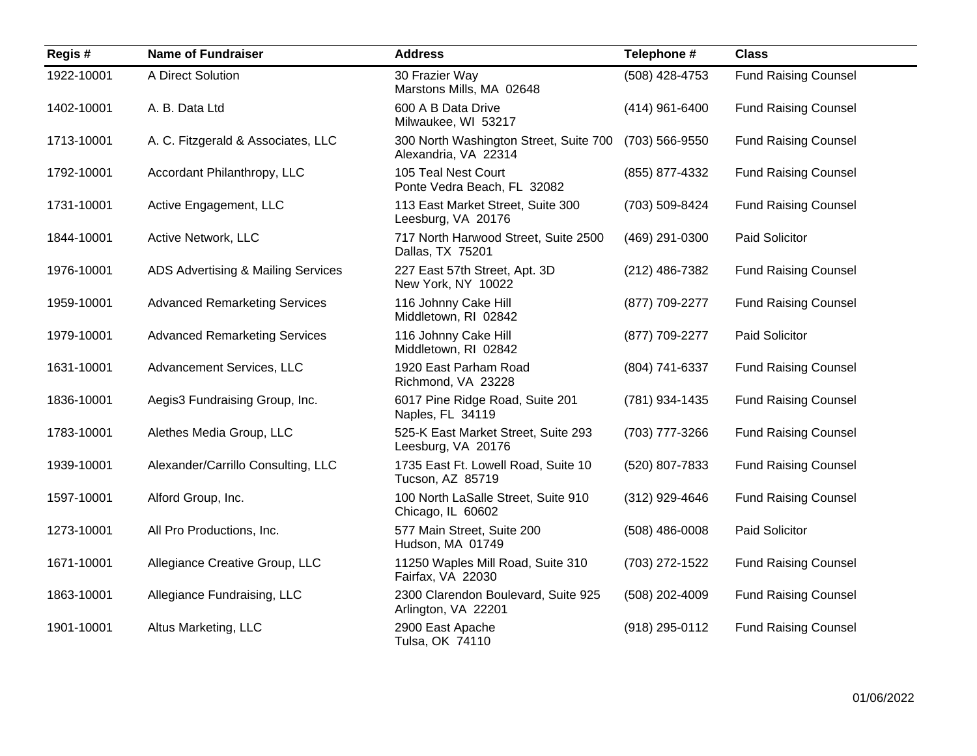| Regis#     | <b>Name of Fundraiser</b>            | <b>Address</b>                                                 | Telephone #      | <b>Class</b>                |
|------------|--------------------------------------|----------------------------------------------------------------|------------------|-----------------------------|
| 1922-10001 | A Direct Solution                    | 30 Frazier Way<br>Marstons Mills, MA 02648                     | (508) 428-4753   | <b>Fund Raising Counsel</b> |
| 1402-10001 | A. B. Data Ltd                       | 600 A B Data Drive<br>Milwaukee, WI 53217                      | $(414)$ 961-6400 | <b>Fund Raising Counsel</b> |
| 1713-10001 | A. C. Fitzgerald & Associates, LLC   | 300 North Washington Street, Suite 700<br>Alexandria, VA 22314 | (703) 566-9550   | <b>Fund Raising Counsel</b> |
| 1792-10001 | Accordant Philanthropy, LLC          | 105 Teal Nest Court<br>Ponte Vedra Beach, FL 32082             | (855) 877-4332   | <b>Fund Raising Counsel</b> |
| 1731-10001 | Active Engagement, LLC               | 113 East Market Street, Suite 300<br>Leesburg, VA 20176        | (703) 509-8424   | <b>Fund Raising Counsel</b> |
| 1844-10001 | Active Network, LLC                  | 717 North Harwood Street, Suite 2500<br>Dallas, TX 75201       | (469) 291-0300   | Paid Solicitor              |
| 1976-10001 | ADS Advertising & Mailing Services   | 227 East 57th Street, Apt. 3D<br>New York, NY 10022            | (212) 486-7382   | <b>Fund Raising Counsel</b> |
| 1959-10001 | <b>Advanced Remarketing Services</b> | 116 Johnny Cake Hill<br>Middletown, RI 02842                   | (877) 709-2277   | <b>Fund Raising Counsel</b> |
| 1979-10001 | <b>Advanced Remarketing Services</b> | 116 Johnny Cake Hill<br>Middletown, RI 02842                   | (877) 709-2277   | Paid Solicitor              |
| 1631-10001 | Advancement Services, LLC            | 1920 East Parham Road<br>Richmond, VA 23228                    | (804) 741-6337   | <b>Fund Raising Counsel</b> |
| 1836-10001 | Aegis3 Fundraising Group, Inc.       | 6017 Pine Ridge Road, Suite 201<br>Naples, FL 34119            | (781) 934-1435   | <b>Fund Raising Counsel</b> |
| 1783-10001 | Alethes Media Group, LLC             | 525-K East Market Street, Suite 293<br>Leesburg, VA 20176      | (703) 777-3266   | <b>Fund Raising Counsel</b> |
| 1939-10001 | Alexander/Carrillo Consulting, LLC   | 1735 East Ft. Lowell Road, Suite 10<br>Tucson, AZ 85719        | (520) 807-7833   | <b>Fund Raising Counsel</b> |
| 1597-10001 | Alford Group, Inc.                   | 100 North LaSalle Street, Suite 910<br>Chicago, IL 60602       | (312) 929-4646   | <b>Fund Raising Counsel</b> |
| 1273-10001 | All Pro Productions, Inc.            | 577 Main Street, Suite 200<br>Hudson, MA 01749                 | $(508)$ 486-0008 | Paid Solicitor              |
| 1671-10001 | Allegiance Creative Group, LLC       | 11250 Waples Mill Road, Suite 310<br>Fairfax, VA 22030         | (703) 272-1522   | <b>Fund Raising Counsel</b> |
| 1863-10001 | Allegiance Fundraising, LLC          | 2300 Clarendon Boulevard, Suite 925<br>Arlington, VA 22201     | (508) 202-4009   | <b>Fund Raising Counsel</b> |
| 1901-10001 | Altus Marketing, LLC                 | 2900 East Apache<br>Tulsa, OK 74110                            | (918) 295-0112   | <b>Fund Raising Counsel</b> |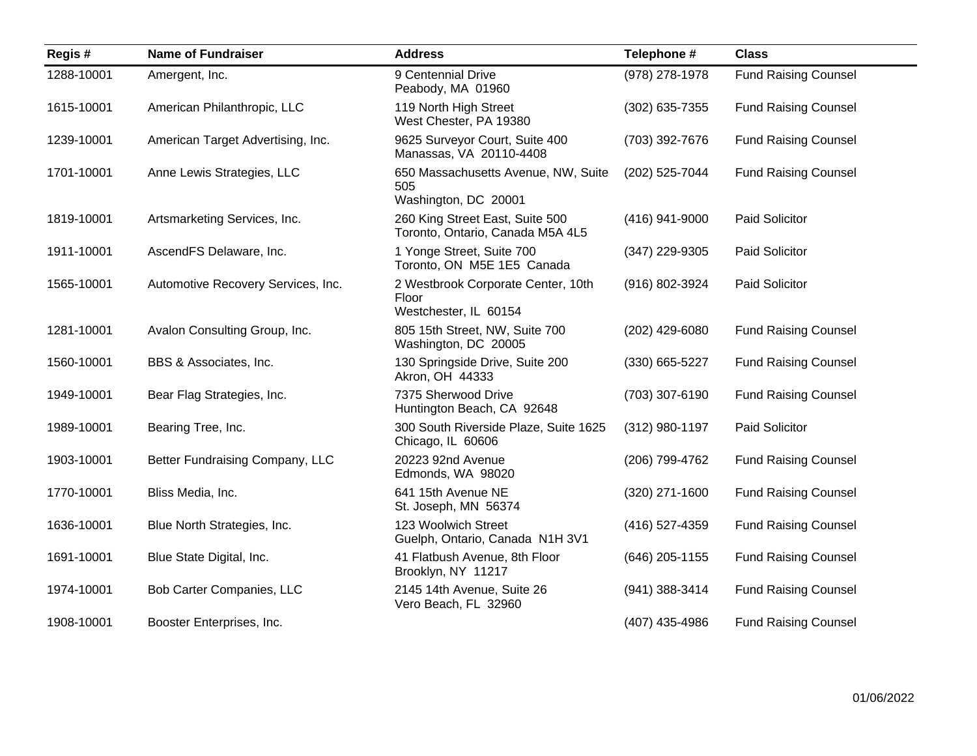| Regis#     | <b>Name of Fundraiser</b>          | <b>Address</b>                                                       | Telephone #    | <b>Class</b>                |
|------------|------------------------------------|----------------------------------------------------------------------|----------------|-----------------------------|
| 1288-10001 | Amergent, Inc.                     | 9 Centennial Drive<br>Peabody, MA 01960                              | (978) 278-1978 | <b>Fund Raising Counsel</b> |
| 1615-10001 | American Philanthropic, LLC        | 119 North High Street<br>West Chester, PA 19380                      | (302) 635-7355 | <b>Fund Raising Counsel</b> |
| 1239-10001 | American Target Advertising, Inc.  | 9625 Surveyor Court, Suite 400<br>Manassas, VA 20110-4408            | (703) 392-7676 | <b>Fund Raising Counsel</b> |
| 1701-10001 | Anne Lewis Strategies, LLC         | 650 Massachusetts Avenue, NW, Suite<br>505<br>Washington, DC 20001   | (202) 525-7044 | <b>Fund Raising Counsel</b> |
| 1819-10001 | Artsmarketing Services, Inc.       | 260 King Street East, Suite 500<br>Toronto, Ontario, Canada M5A 4L5  | (416) 941-9000 | Paid Solicitor              |
| 1911-10001 | AscendFS Delaware, Inc.            | 1 Yonge Street, Suite 700<br>Toronto, ON M5E 1E5 Canada              | (347) 229-9305 | Paid Solicitor              |
| 1565-10001 | Automotive Recovery Services, Inc. | 2 Westbrook Corporate Center, 10th<br>Floor<br>Westchester, IL 60154 | (916) 802-3924 | Paid Solicitor              |
| 1281-10001 | Avalon Consulting Group, Inc.      | 805 15th Street, NW, Suite 700<br>Washington, DC 20005               | (202) 429-6080 | <b>Fund Raising Counsel</b> |
| 1560-10001 | BBS & Associates, Inc.             | 130 Springside Drive, Suite 200<br>Akron, OH 44333                   | (330) 665-5227 | <b>Fund Raising Counsel</b> |
| 1949-10001 | Bear Flag Strategies, Inc.         | 7375 Sherwood Drive<br>Huntington Beach, CA 92648                    | (703) 307-6190 | <b>Fund Raising Counsel</b> |
| 1989-10001 | Bearing Tree, Inc.                 | 300 South Riverside Plaze, Suite 1625<br>Chicago, IL 60606           | (312) 980-1197 | Paid Solicitor              |
| 1903-10001 | Better Fundraising Company, LLC    | 20223 92nd Avenue<br>Edmonds, WA 98020                               | (206) 799-4762 | <b>Fund Raising Counsel</b> |
| 1770-10001 | Bliss Media, Inc.                  | 641 15th Avenue NE<br>St. Joseph, MN 56374                           | (320) 271-1600 | <b>Fund Raising Counsel</b> |
| 1636-10001 | Blue North Strategies, Inc.        | 123 Woolwich Street<br>Guelph, Ontario, Canada N1H 3V1               | (416) 527-4359 | <b>Fund Raising Counsel</b> |
| 1691-10001 | Blue State Digital, Inc.           | 41 Flatbush Avenue, 8th Floor<br>Brooklyn, NY 11217                  | (646) 205-1155 | <b>Fund Raising Counsel</b> |
| 1974-10001 | Bob Carter Companies, LLC          | 2145 14th Avenue, Suite 26<br>Vero Beach, FL 32960                   | (941) 388-3414 | <b>Fund Raising Counsel</b> |
| 1908-10001 | Booster Enterprises, Inc.          |                                                                      | (407) 435-4986 | <b>Fund Raising Counsel</b> |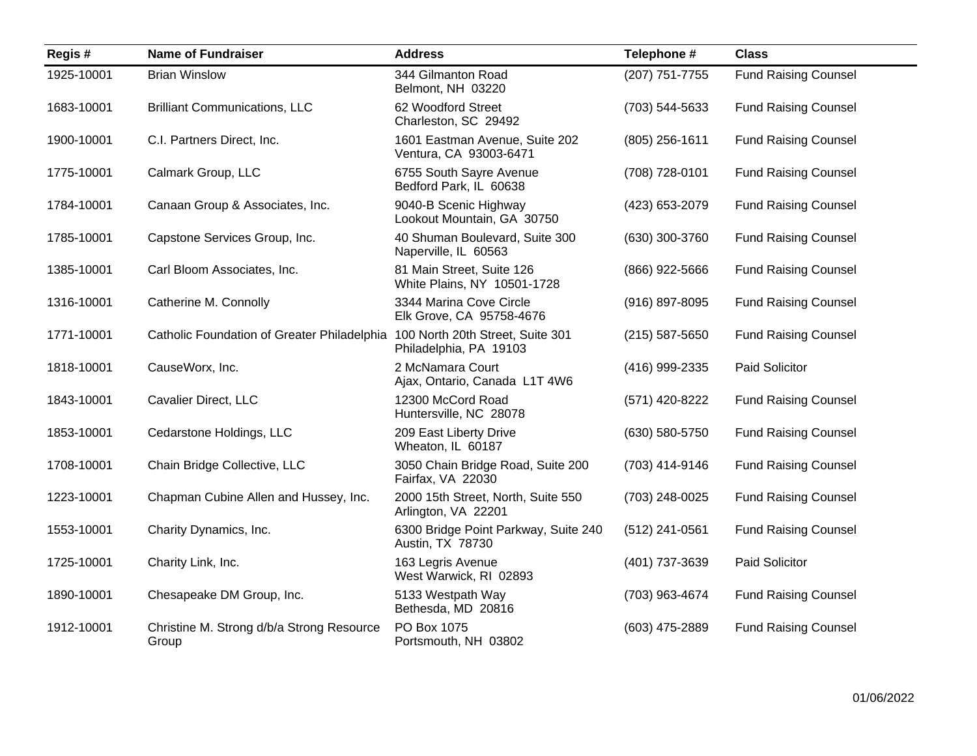| Regis#     | <b>Name of Fundraiser</b>                          | <b>Address</b>                                             | Telephone #      | <b>Class</b>                |
|------------|----------------------------------------------------|------------------------------------------------------------|------------------|-----------------------------|
| 1925-10001 | <b>Brian Winslow</b>                               | 344 Gilmanton Road<br>Belmont, NH 03220                    | (207) 751-7755   | <b>Fund Raising Counsel</b> |
| 1683-10001 | <b>Brilliant Communications, LLC</b>               | 62 Woodford Street<br>Charleston, SC 29492                 | (703) 544-5633   | <b>Fund Raising Counsel</b> |
| 1900-10001 | C.I. Partners Direct, Inc.                         | 1601 Eastman Avenue, Suite 202<br>Ventura, CA 93003-6471   | $(805)$ 256-1611 | <b>Fund Raising Counsel</b> |
| 1775-10001 | Calmark Group, LLC                                 | 6755 South Sayre Avenue<br>Bedford Park, IL 60638          | (708) 728-0101   | <b>Fund Raising Counsel</b> |
| 1784-10001 | Canaan Group & Associates, Inc.                    | 9040-B Scenic Highway<br>Lookout Mountain, GA 30750        | (423) 653-2079   | <b>Fund Raising Counsel</b> |
| 1785-10001 | Capstone Services Group, Inc.                      | 40 Shuman Boulevard, Suite 300<br>Naperville, IL 60563     | (630) 300-3760   | <b>Fund Raising Counsel</b> |
| 1385-10001 | Carl Bloom Associates, Inc.                        | 81 Main Street, Suite 126<br>White Plains, NY 10501-1728   | (866) 922-5666   | <b>Fund Raising Counsel</b> |
| 1316-10001 | Catherine M. Connolly                              | 3344 Marina Cove Circle<br>Elk Grove, CA 95758-4676        | (916) 897-8095   | <b>Fund Raising Counsel</b> |
| 1771-10001 | Catholic Foundation of Greater Philadelphia        | 100 North 20th Street, Suite 301<br>Philadelphia, PA 19103 | $(215)$ 587-5650 | <b>Fund Raising Counsel</b> |
| 1818-10001 | CauseWorx, Inc.                                    | 2 McNamara Court<br>Ajax, Ontario, Canada L1T 4W6          | (416) 999-2335   | Paid Solicitor              |
| 1843-10001 | <b>Cavalier Direct, LLC</b>                        | 12300 McCord Road<br>Huntersville, NC 28078                | (571) 420-8222   | <b>Fund Raising Counsel</b> |
| 1853-10001 | Cedarstone Holdings, LLC                           | 209 East Liberty Drive<br>Wheaton, IL 60187                | (630) 580-5750   | <b>Fund Raising Counsel</b> |
| 1708-10001 | Chain Bridge Collective, LLC                       | 3050 Chain Bridge Road, Suite 200<br>Fairfax, VA 22030     | (703) 414-9146   | <b>Fund Raising Counsel</b> |
| 1223-10001 | Chapman Cubine Allen and Hussey, Inc.              | 2000 15th Street, North, Suite 550<br>Arlington, VA 22201  | (703) 248-0025   | <b>Fund Raising Counsel</b> |
| 1553-10001 | Charity Dynamics, Inc.                             | 6300 Bridge Point Parkway, Suite 240<br>Austin, TX 78730   | (512) 241-0561   | <b>Fund Raising Counsel</b> |
| 1725-10001 | Charity Link, Inc.                                 | 163 Legris Avenue<br>West Warwick, RI 02893                | (401) 737-3639   | Paid Solicitor              |
| 1890-10001 | Chesapeake DM Group, Inc.                          | 5133 Westpath Way<br>Bethesda, MD 20816                    | (703) 963-4674   | <b>Fund Raising Counsel</b> |
| 1912-10001 | Christine M. Strong d/b/a Strong Resource<br>Group | PO Box 1075<br>Portsmouth, NH 03802                        | (603) 475-2889   | <b>Fund Raising Counsel</b> |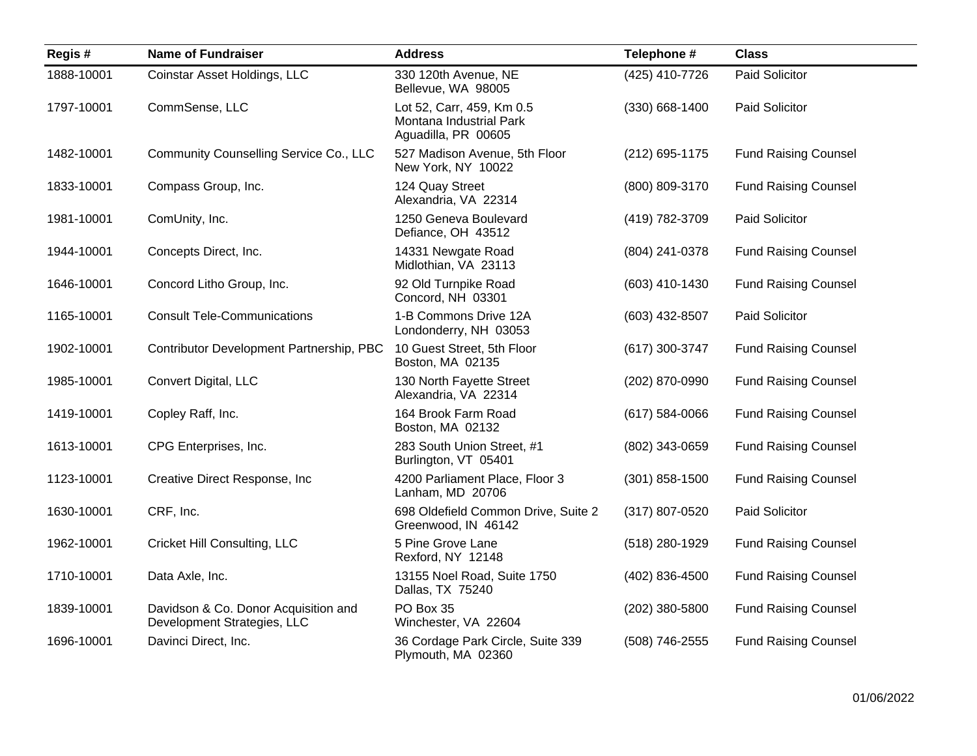| Regis#     | <b>Name of Fundraiser</b>                                           | <b>Address</b>                                                              | Telephone #        | <b>Class</b>                |
|------------|---------------------------------------------------------------------|-----------------------------------------------------------------------------|--------------------|-----------------------------|
| 1888-10001 | Coinstar Asset Holdings, LLC                                        | 330 120th Avenue, NE<br>Bellevue, WA 98005                                  | (425) 410-7726     | Paid Solicitor              |
| 1797-10001 | CommSense, LLC                                                      | Lot 52, Carr, 459, Km 0.5<br>Montana Industrial Park<br>Aguadilla, PR 00605 | $(330)$ 668-1400   | Paid Solicitor              |
| 1482-10001 | Community Counselling Service Co., LLC                              | 527 Madison Avenue, 5th Floor<br>New York, NY 10022                         | (212) 695-1175     | <b>Fund Raising Counsel</b> |
| 1833-10001 | Compass Group, Inc.                                                 | 124 Quay Street<br>Alexandria, VA 22314                                     | (800) 809-3170     | <b>Fund Raising Counsel</b> |
| 1981-10001 | ComUnity, Inc.                                                      | 1250 Geneva Boulevard<br>Defiance, OH 43512                                 | (419) 782-3709     | Paid Solicitor              |
| 1944-10001 | Concepts Direct, Inc.                                               | 14331 Newgate Road<br>Midlothian, VA 23113                                  | (804) 241-0378     | <b>Fund Raising Counsel</b> |
| 1646-10001 | Concord Litho Group, Inc.                                           | 92 Old Turnpike Road<br>Concord, NH 03301                                   | (603) 410-1430     | <b>Fund Raising Counsel</b> |
| 1165-10001 | <b>Consult Tele-Communications</b>                                  | 1-B Commons Drive 12A<br>Londonderry, NH 03053                              | (603) 432-8507     | Paid Solicitor              |
| 1902-10001 | Contributor Development Partnership, PBC                            | 10 Guest Street, 5th Floor<br>Boston, MA 02135                              | (617) 300-3747     | <b>Fund Raising Counsel</b> |
| 1985-10001 | Convert Digital, LLC                                                | 130 North Fayette Street<br>Alexandria, VA 22314                            | (202) 870-0990     | <b>Fund Raising Counsel</b> |
| 1419-10001 | Copley Raff, Inc.                                                   | 164 Brook Farm Road<br>Boston, MA 02132                                     | $(617) 584 - 0066$ | <b>Fund Raising Counsel</b> |
| 1613-10001 | CPG Enterprises, Inc.                                               | 283 South Union Street, #1<br>Burlington, VT 05401                          | (802) 343-0659     | <b>Fund Raising Counsel</b> |
| 1123-10001 | Creative Direct Response, Inc                                       | 4200 Parliament Place, Floor 3<br>Lanham, MD 20706                          | (301) 858-1500     | <b>Fund Raising Counsel</b> |
| 1630-10001 | CRF, Inc.                                                           | 698 Oldefield Common Drive, Suite 2<br>Greenwood, IN 46142                  | (317) 807-0520     | <b>Paid Solicitor</b>       |
| 1962-10001 | <b>Cricket Hill Consulting, LLC</b>                                 | 5 Pine Grove Lane<br>Rexford, NY 12148                                      | (518) 280-1929     | <b>Fund Raising Counsel</b> |
| 1710-10001 | Data Axle, Inc.                                                     | 13155 Noel Road, Suite 1750<br>Dallas, TX 75240                             | (402) 836-4500     | <b>Fund Raising Counsel</b> |
| 1839-10001 | Davidson & Co. Donor Acquisition and<br>Development Strategies, LLC | PO Box 35<br>Winchester, VA 22604                                           | (202) 380-5800     | <b>Fund Raising Counsel</b> |
| 1696-10001 | Davinci Direct, Inc.                                                | 36 Cordage Park Circle, Suite 339<br>Plymouth, MA 02360                     | (508) 746-2555     | <b>Fund Raising Counsel</b> |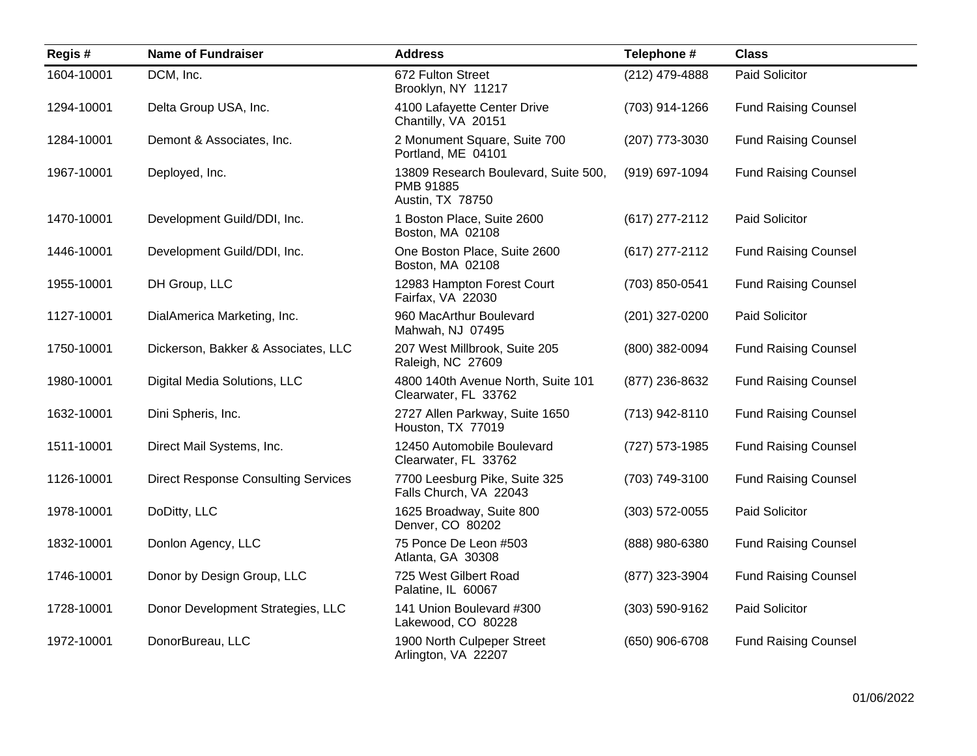| Regis#     | <b>Name of Fundraiser</b>                  | <b>Address</b>                                                        | Telephone #        | <b>Class</b>                |
|------------|--------------------------------------------|-----------------------------------------------------------------------|--------------------|-----------------------------|
| 1604-10001 | DCM, Inc.                                  | 672 Fulton Street<br>Brooklyn, NY 11217                               | (212) 479-4888     | Paid Solicitor              |
| 1294-10001 | Delta Group USA, Inc.                      | 4100 Lafayette Center Drive<br>Chantilly, VA 20151                    | (703) 914-1266     | <b>Fund Raising Counsel</b> |
| 1284-10001 | Demont & Associates, Inc.                  | 2 Monument Square, Suite 700<br>Portland, ME 04101                    | (207) 773-3030     | <b>Fund Raising Counsel</b> |
| 1967-10001 | Deployed, Inc.                             | 13809 Research Boulevard, Suite 500,<br>PMB 91885<br>Austin, TX 78750 | (919) 697-1094     | <b>Fund Raising Counsel</b> |
| 1470-10001 | Development Guild/DDI, Inc.                | 1 Boston Place, Suite 2600<br>Boston, MA 02108                        | (617) 277-2112     | Paid Solicitor              |
| 1446-10001 | Development Guild/DDI, Inc.                | One Boston Place, Suite 2600<br>Boston, MA 02108                      | (617) 277-2112     | <b>Fund Raising Counsel</b> |
| 1955-10001 | DH Group, LLC                              | 12983 Hampton Forest Court<br>Fairfax, VA 22030                       | (703) 850-0541     | <b>Fund Raising Counsel</b> |
| 1127-10001 | DialAmerica Marketing, Inc.                | 960 MacArthur Boulevard<br>Mahwah, NJ 07495                           | (201) 327-0200     | Paid Solicitor              |
| 1750-10001 | Dickerson, Bakker & Associates, LLC        | 207 West Millbrook, Suite 205<br>Raleigh, NC 27609                    | (800) 382-0094     | <b>Fund Raising Counsel</b> |
| 1980-10001 | Digital Media Solutions, LLC               | 4800 140th Avenue North, Suite 101<br>Clearwater, FL 33762            | (877) 236-8632     | <b>Fund Raising Counsel</b> |
| 1632-10001 | Dini Spheris, Inc.                         | 2727 Allen Parkway, Suite 1650<br>Houston, TX 77019                   | (713) 942-8110     | <b>Fund Raising Counsel</b> |
| 1511-10001 | Direct Mail Systems, Inc.                  | 12450 Automobile Boulevard<br>Clearwater, FL 33762                    | (727) 573-1985     | <b>Fund Raising Counsel</b> |
| 1126-10001 | <b>Direct Response Consulting Services</b> | 7700 Leesburg Pike, Suite 325<br>Falls Church, VA 22043               | (703) 749-3100     | <b>Fund Raising Counsel</b> |
| 1978-10001 | DoDitty, LLC                               | 1625 Broadway, Suite 800<br>Denver, CO 80202                          | $(303) 572 - 0055$ | Paid Solicitor              |
| 1832-10001 | Donlon Agency, LLC                         | 75 Ponce De Leon #503<br>Atlanta, GA 30308                            | (888) 980-6380     | <b>Fund Raising Counsel</b> |
| 1746-10001 | Donor by Design Group, LLC                 | 725 West Gilbert Road<br>Palatine, IL 60067                           | (877) 323-3904     | <b>Fund Raising Counsel</b> |
| 1728-10001 | Donor Development Strategies, LLC          | 141 Union Boulevard #300<br>Lakewood, CO 80228                        | $(303) 590 - 9162$ | Paid Solicitor              |
| 1972-10001 | DonorBureau, LLC                           | 1900 North Culpeper Street<br>Arlington, VA 22207                     | (650) 906-6708     | <b>Fund Raising Counsel</b> |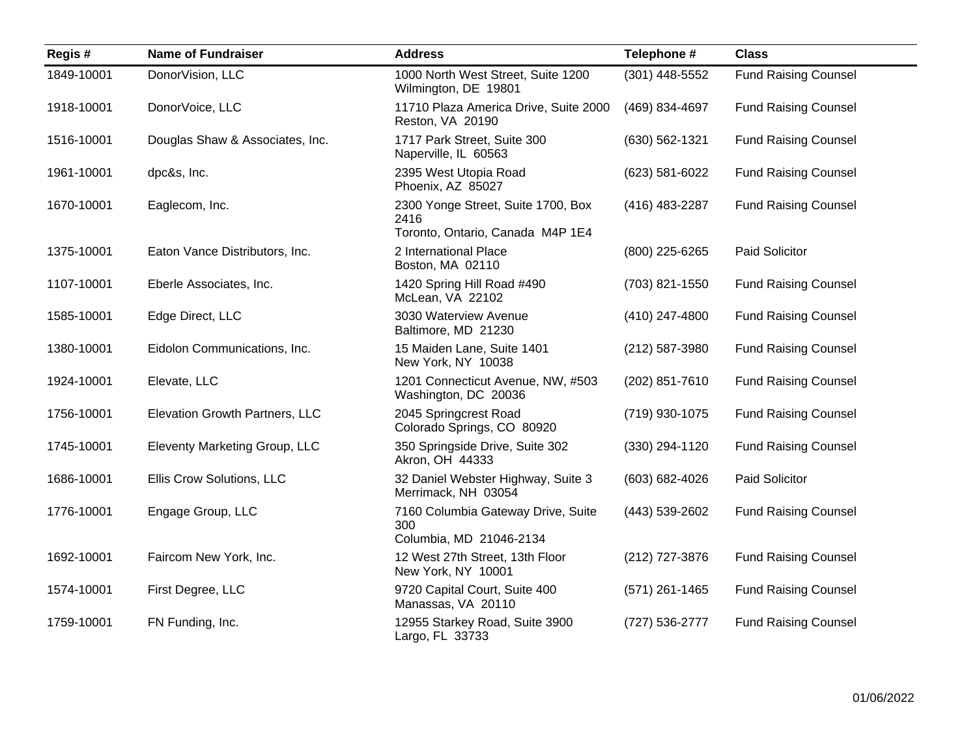| Regis#     | <b>Name of Fundraiser</b>       | <b>Address</b>                                                                 | Telephone #      | <b>Class</b>                |
|------------|---------------------------------|--------------------------------------------------------------------------------|------------------|-----------------------------|
| 1849-10001 | DonorVision, LLC                | 1000 North West Street, Suite 1200<br>Wilmington, DE 19801                     | $(301)$ 448-5552 | <b>Fund Raising Counsel</b> |
| 1918-10001 | DonorVoice, LLC                 | 11710 Plaza America Drive, Suite 2000<br>Reston, VA 20190                      | (469) 834-4697   | <b>Fund Raising Counsel</b> |
| 1516-10001 | Douglas Shaw & Associates, Inc. | 1717 Park Street, Suite 300<br>Naperville, IL 60563                            | (630) 562-1321   | <b>Fund Raising Counsel</b> |
| 1961-10001 | dpc&s, Inc.                     | 2395 West Utopia Road<br>Phoenix, AZ 85027                                     | (623) 581-6022   | <b>Fund Raising Counsel</b> |
| 1670-10001 | Eaglecom, Inc.                  | 2300 Yonge Street, Suite 1700, Box<br>2416<br>Toronto, Ontario, Canada M4P 1E4 | (416) 483-2287   | <b>Fund Raising Counsel</b> |
| 1375-10001 | Eaton Vance Distributors, Inc.  | 2 International Place<br>Boston, MA 02110                                      | (800) 225-6265   | Paid Solicitor              |
| 1107-10001 | Eberle Associates, Inc.         | 1420 Spring Hill Road #490<br>McLean, VA 22102                                 | (703) 821-1550   | <b>Fund Raising Counsel</b> |
| 1585-10001 | Edge Direct, LLC                | 3030 Waterview Avenue<br>Baltimore, MD 21230                                   | (410) 247-4800   | <b>Fund Raising Counsel</b> |
| 1380-10001 | Eidolon Communications, Inc.    | 15 Maiden Lane, Suite 1401<br>New York, NY 10038                               | (212) 587-3980   | <b>Fund Raising Counsel</b> |
| 1924-10001 | Elevate, LLC                    | 1201 Connecticut Avenue, NW, #503<br>Washington, DC 20036                      | (202) 851-7610   | <b>Fund Raising Counsel</b> |
| 1756-10001 | Elevation Growth Partners, LLC  | 2045 Springcrest Road<br>Colorado Springs, CO 80920                            | (719) 930-1075   | <b>Fund Raising Counsel</b> |
| 1745-10001 | Eleventy Marketing Group, LLC   | 350 Springside Drive, Suite 302<br>Akron, OH 44333                             | (330) 294-1120   | <b>Fund Raising Counsel</b> |
| 1686-10001 | Ellis Crow Solutions, LLC       | 32 Daniel Webster Highway, Suite 3<br>Merrimack, NH 03054                      | (603) 682-4026   | Paid Solicitor              |
| 1776-10001 | Engage Group, LLC               | 7160 Columbia Gateway Drive, Suite<br>300<br>Columbia, MD 21046-2134           | (443) 539-2602   | <b>Fund Raising Counsel</b> |
| 1692-10001 | Faircom New York, Inc.          | 12 West 27th Street, 13th Floor<br>New York, NY 10001                          | (212) 727-3876   | <b>Fund Raising Counsel</b> |
| 1574-10001 | First Degree, LLC               | 9720 Capital Court, Suite 400<br>Manassas, VA 20110                            | $(571)$ 261-1465 | <b>Fund Raising Counsel</b> |
| 1759-10001 | FN Funding, Inc.                | 12955 Starkey Road, Suite 3900<br>Largo, FL 33733                              | (727) 536-2777   | <b>Fund Raising Counsel</b> |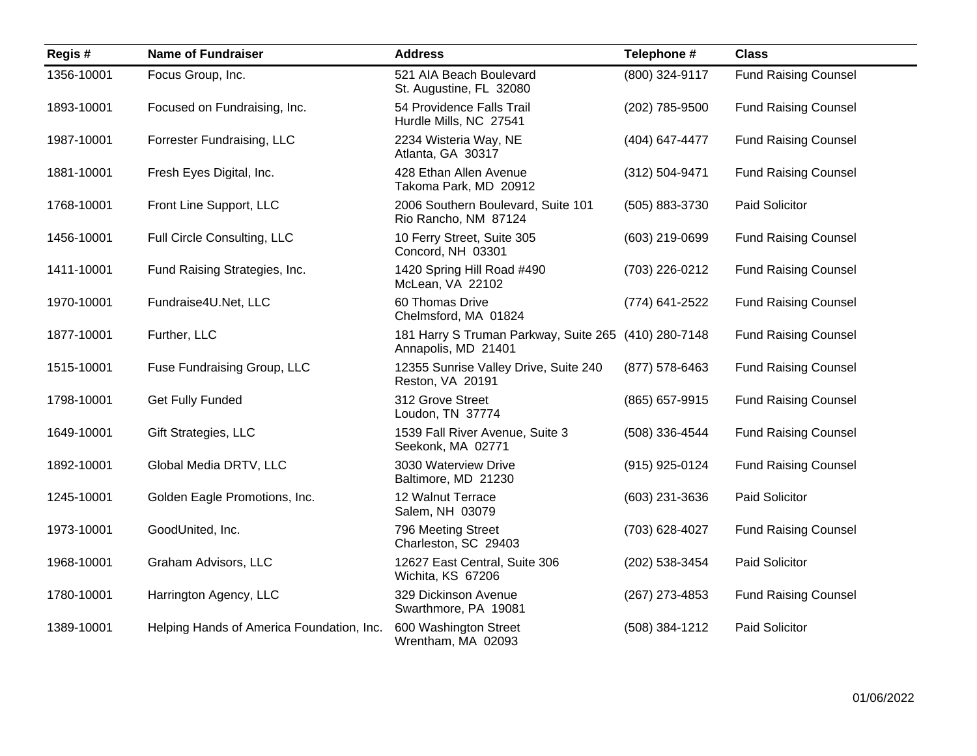| Regis#     | <b>Name of Fundraiser</b>                 | <b>Address</b>                                               | Telephone #    | <b>Class</b>                |
|------------|-------------------------------------------|--------------------------------------------------------------|----------------|-----------------------------|
| 1356-10001 | Focus Group, Inc.                         | 521 AIA Beach Boulevard<br>St. Augustine, FL 32080           | (800) 324-9117 | <b>Fund Raising Counsel</b> |
| 1893-10001 | Focused on Fundraising, Inc.              | 54 Providence Falls Trail<br>Hurdle Mills, NC 27541          | (202) 785-9500 | <b>Fund Raising Counsel</b> |
| 1987-10001 | Forrester Fundraising, LLC                | 2234 Wisteria Way, NE<br>Atlanta, GA 30317                   | (404) 647-4477 | <b>Fund Raising Counsel</b> |
| 1881-10001 | Fresh Eyes Digital, Inc.                  | 428 Ethan Allen Avenue<br>Takoma Park, MD 20912              | (312) 504-9471 | <b>Fund Raising Counsel</b> |
| 1768-10001 | Front Line Support, LLC                   | 2006 Southern Boulevard, Suite 101<br>Rio Rancho, NM 87124   | (505) 883-3730 | Paid Solicitor              |
| 1456-10001 | Full Circle Consulting, LLC               | 10 Ferry Street, Suite 305<br>Concord, NH 03301              | (603) 219-0699 | <b>Fund Raising Counsel</b> |
| 1411-10001 | Fund Raising Strategies, Inc.             | 1420 Spring Hill Road #490<br>McLean, VA 22102               | (703) 226-0212 | <b>Fund Raising Counsel</b> |
| 1970-10001 | Fundraise4U.Net, LLC                      | 60 Thomas Drive<br>Chelmsford, MA 01824                      | (774) 641-2522 | <b>Fund Raising Counsel</b> |
| 1877-10001 | Further, LLC                              | 181 Harry S Truman Parkway, Suite 265<br>Annapolis, MD 21401 | (410) 280-7148 | <b>Fund Raising Counsel</b> |
| 1515-10001 | Fuse Fundraising Group, LLC               | 12355 Sunrise Valley Drive, Suite 240<br>Reston, VA 20191    | (877) 578-6463 | <b>Fund Raising Counsel</b> |
| 1798-10001 | <b>Get Fully Funded</b>                   | 312 Grove Street<br>Loudon, TN 37774                         | (865) 657-9915 | <b>Fund Raising Counsel</b> |
| 1649-10001 | Gift Strategies, LLC                      | 1539 Fall River Avenue, Suite 3<br>Seekonk, MA 02771         | (508) 336-4544 | <b>Fund Raising Counsel</b> |
| 1892-10001 | Global Media DRTV, LLC                    | 3030 Waterview Drive<br>Baltimore, MD 21230                  | (915) 925-0124 | <b>Fund Raising Counsel</b> |
| 1245-10001 | Golden Eagle Promotions, Inc.             | 12 Walnut Terrace<br>Salem, NH 03079                         | (603) 231-3636 | Paid Solicitor              |
| 1973-10001 | GoodUnited, Inc.                          | 796 Meeting Street<br>Charleston, SC 29403                   | (703) 628-4027 | <b>Fund Raising Counsel</b> |
| 1968-10001 | Graham Advisors, LLC                      | 12627 East Central, Suite 306<br>Wichita, KS 67206           | (202) 538-3454 | Paid Solicitor              |
| 1780-10001 | Harrington Agency, LLC                    | 329 Dickinson Avenue<br>Swarthmore, PA 19081                 | (267) 273-4853 | <b>Fund Raising Counsel</b> |
| 1389-10001 | Helping Hands of America Foundation, Inc. | 600 Washington Street<br>Wrentham, MA 02093                  | (508) 384-1212 | Paid Solicitor              |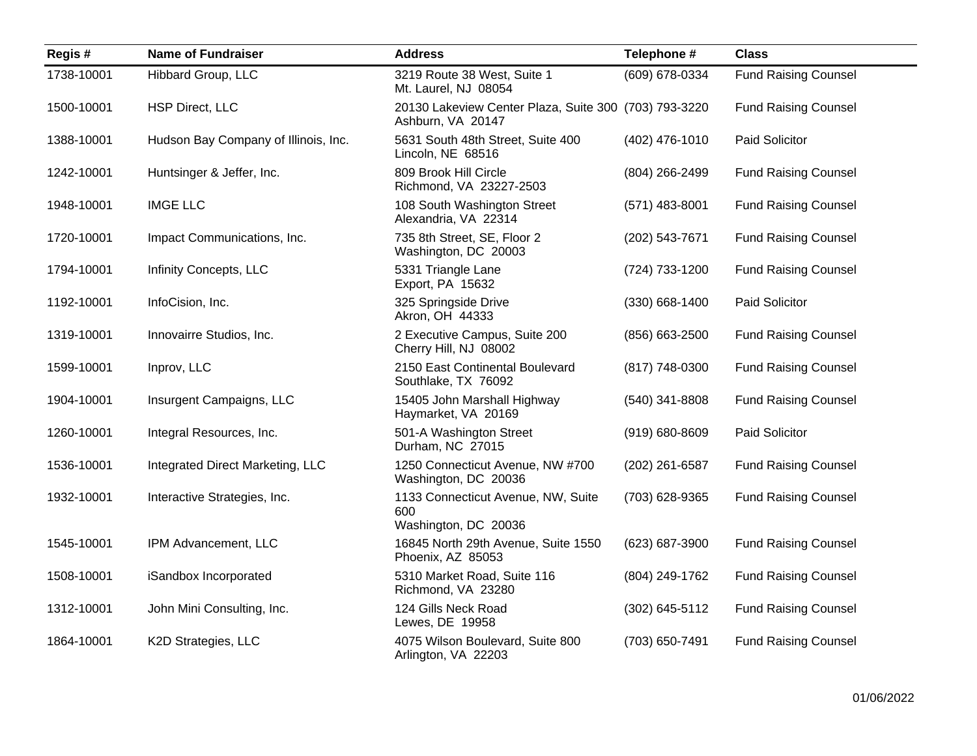| Regis#     | <b>Name of Fundraiser</b>            | <b>Address</b>                                                             | Telephone #        | <b>Class</b>                |
|------------|--------------------------------------|----------------------------------------------------------------------------|--------------------|-----------------------------|
| 1738-10001 | Hibbard Group, LLC                   | 3219 Route 38 West, Suite 1<br>Mt. Laurel, NJ 08054                        | (609) 678-0334     | <b>Fund Raising Counsel</b> |
| 1500-10001 | <b>HSP Direct, LLC</b>               | 20130 Lakeview Center Plaza, Suite 300 (703) 793-3220<br>Ashburn, VA 20147 |                    | <b>Fund Raising Counsel</b> |
| 1388-10001 | Hudson Bay Company of Illinois, Inc. | 5631 South 48th Street, Suite 400<br>Lincoln, NE 68516                     | (402) 476-1010     | Paid Solicitor              |
| 1242-10001 | Huntsinger & Jeffer, Inc.            | 809 Brook Hill Circle<br>Richmond, VA 23227-2503                           | (804) 266-2499     | <b>Fund Raising Counsel</b> |
| 1948-10001 | <b>IMGE LLC</b>                      | 108 South Washington Street<br>Alexandria, VA 22314                        | $(571)$ 483-8001   | <b>Fund Raising Counsel</b> |
| 1720-10001 | Impact Communications, Inc.          | 735 8th Street, SE, Floor 2<br>Washington, DC 20003                        | (202) 543-7671     | <b>Fund Raising Counsel</b> |
| 1794-10001 | Infinity Concepts, LLC               | 5331 Triangle Lane<br>Export, PA 15632                                     | (724) 733-1200     | <b>Fund Raising Counsel</b> |
| 1192-10001 | InfoCision, Inc.                     | 325 Springside Drive<br>Akron, OH 44333                                    | $(330)$ 668-1400   | Paid Solicitor              |
| 1319-10001 | Innovairre Studios, Inc.             | 2 Executive Campus, Suite 200<br>Cherry Hill, NJ 08002                     | (856) 663-2500     | <b>Fund Raising Counsel</b> |
| 1599-10001 | Inprov, LLC                          | 2150 East Continental Boulevard<br>Southlake, TX 76092                     | (817) 748-0300     | <b>Fund Raising Counsel</b> |
| 1904-10001 | Insurgent Campaigns, LLC             | 15405 John Marshall Highway<br>Haymarket, VA 20169                         | (540) 341-8808     | <b>Fund Raising Counsel</b> |
| 1260-10001 | Integral Resources, Inc.             | 501-A Washington Street<br>Durham, NC 27015                                | $(919) 680 - 8609$ | Paid Solicitor              |
| 1536-10001 | Integrated Direct Marketing, LLC     | 1250 Connecticut Avenue, NW #700<br>Washington, DC 20036                   | (202) 261-6587     | <b>Fund Raising Counsel</b> |
| 1932-10001 | Interactive Strategies, Inc.         | 1133 Connecticut Avenue, NW, Suite<br>600<br>Washington, DC 20036          | (703) 628-9365     | <b>Fund Raising Counsel</b> |
| 1545-10001 | IPM Advancement, LLC                 | 16845 North 29th Avenue, Suite 1550<br>Phoenix, AZ 85053                   | (623) 687-3900     | <b>Fund Raising Counsel</b> |
| 1508-10001 | iSandbox Incorporated                | 5310 Market Road, Suite 116<br>Richmond, VA 23280                          | (804) 249-1762     | <b>Fund Raising Counsel</b> |
| 1312-10001 | John Mini Consulting, Inc.           | 124 Gills Neck Road<br>Lewes, DE 19958                                     | (302) 645-5112     | <b>Fund Raising Counsel</b> |
| 1864-10001 | K2D Strategies, LLC                  | 4075 Wilson Boulevard, Suite 800<br>Arlington, VA 22203                    | (703) 650-7491     | <b>Fund Raising Counsel</b> |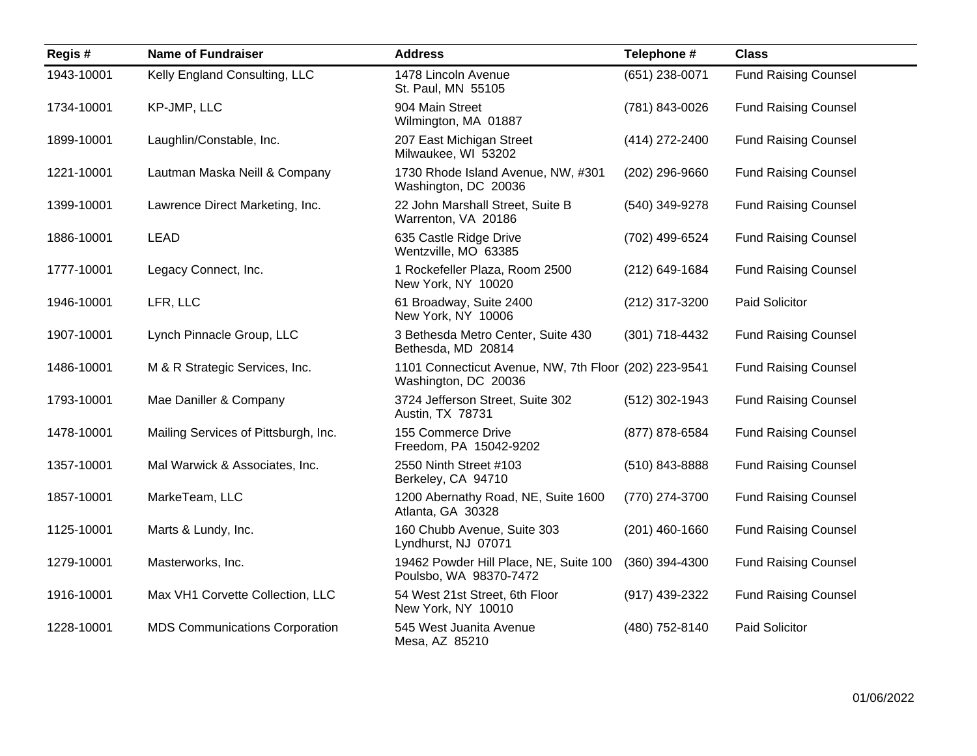| Regis#     | <b>Name of Fundraiser</b>             | <b>Address</b>                                                                | Telephone #      | <b>Class</b>                |
|------------|---------------------------------------|-------------------------------------------------------------------------------|------------------|-----------------------------|
| 1943-10001 | Kelly England Consulting, LLC         | 1478 Lincoln Avenue<br>St. Paul, MN 55105                                     | (651) 238-0071   | <b>Fund Raising Counsel</b> |
| 1734-10001 | KP-JMP, LLC                           | 904 Main Street<br>Wilmington, MA 01887                                       | (781) 843-0026   | <b>Fund Raising Counsel</b> |
| 1899-10001 | Laughlin/Constable, Inc.              | 207 East Michigan Street<br>Milwaukee, WI 53202                               | (414) 272-2400   | <b>Fund Raising Counsel</b> |
| 1221-10001 | Lautman Maska Neill & Company         | 1730 Rhode Island Avenue, NW, #301<br>Washington, DC 20036                    | (202) 296-9660   | <b>Fund Raising Counsel</b> |
| 1399-10001 | Lawrence Direct Marketing, Inc.       | 22 John Marshall Street, Suite B<br>Warrenton, VA 20186                       | (540) 349-9278   | <b>Fund Raising Counsel</b> |
| 1886-10001 | <b>LEAD</b>                           | 635 Castle Ridge Drive<br>Wentzville, MO 63385                                | (702) 499-6524   | <b>Fund Raising Counsel</b> |
| 1777-10001 | Legacy Connect, Inc.                  | 1 Rockefeller Plaza, Room 2500<br>New York, NY 10020                          | (212) 649-1684   | <b>Fund Raising Counsel</b> |
| 1946-10001 | LFR, LLC                              | 61 Broadway, Suite 2400<br>New York, NY 10006                                 | (212) 317-3200   | Paid Solicitor              |
| 1907-10001 | Lynch Pinnacle Group, LLC             | 3 Bethesda Metro Center, Suite 430<br>Bethesda, MD 20814                      | (301) 718-4432   | <b>Fund Raising Counsel</b> |
| 1486-10001 | M & R Strategic Services, Inc.        | 1101 Connecticut Avenue, NW, 7th Floor (202) 223-9541<br>Washington, DC 20036 |                  | <b>Fund Raising Counsel</b> |
| 1793-10001 | Mae Daniller & Company                | 3724 Jefferson Street, Suite 302<br>Austin, TX 78731                          | $(512)$ 302-1943 | <b>Fund Raising Counsel</b> |
| 1478-10001 | Mailing Services of Pittsburgh, Inc.  | 155 Commerce Drive<br>Freedom, PA 15042-9202                                  | (877) 878-6584   | <b>Fund Raising Counsel</b> |
| 1357-10001 | Mal Warwick & Associates, Inc.        | 2550 Ninth Street #103<br>Berkeley, CA 94710                                  | (510) 843-8888   | <b>Fund Raising Counsel</b> |
| 1857-10001 | MarkeTeam, LLC                        | 1200 Abernathy Road, NE, Suite 1600<br>Atlanta, GA 30328                      | (770) 274-3700   | <b>Fund Raising Counsel</b> |
| 1125-10001 | Marts & Lundy, Inc.                   | 160 Chubb Avenue, Suite 303<br>Lyndhurst, NJ 07071                            | (201) 460-1660   | <b>Fund Raising Counsel</b> |
| 1279-10001 | Masterworks, Inc.                     | 19462 Powder Hill Place, NE, Suite 100<br>Poulsbo, WA 98370-7472              | (360) 394-4300   | <b>Fund Raising Counsel</b> |
| 1916-10001 | Max VH1 Corvette Collection, LLC      | 54 West 21st Street, 6th Floor<br>New York, NY 10010                          | (917) 439-2322   | <b>Fund Raising Counsel</b> |
| 1228-10001 | <b>MDS Communications Corporation</b> | 545 West Juanita Avenue<br>Mesa, AZ 85210                                     | (480) 752-8140   | Paid Solicitor              |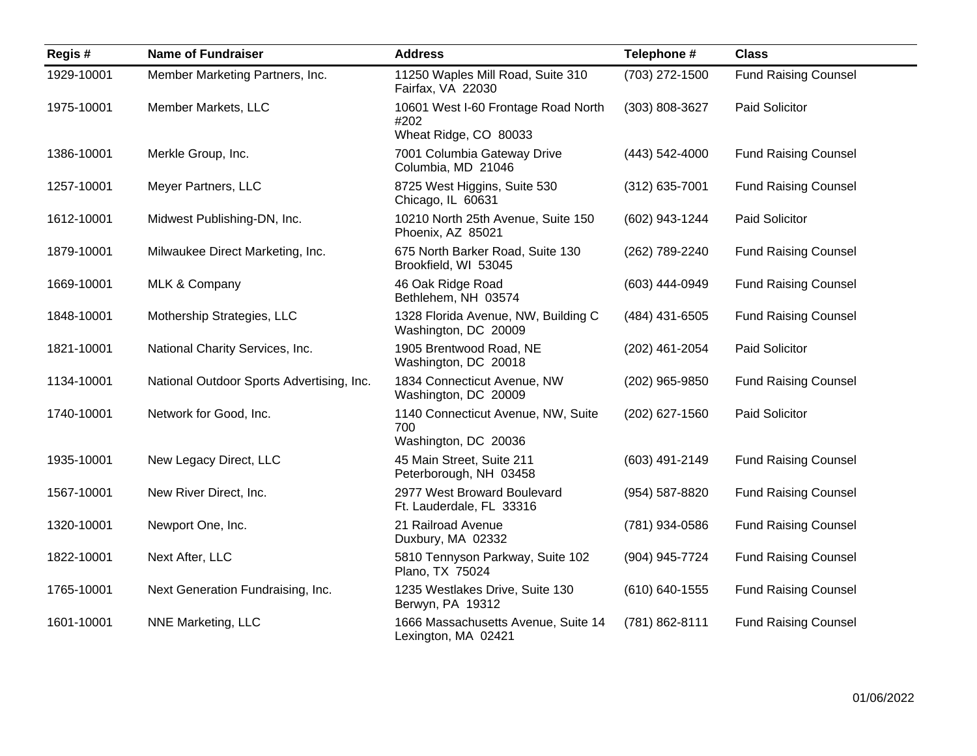| Regis#     | <b>Name of Fundraiser</b>                 | <b>Address</b>                                                       | Telephone #      | <b>Class</b>                |
|------------|-------------------------------------------|----------------------------------------------------------------------|------------------|-----------------------------|
| 1929-10001 | Member Marketing Partners, Inc.           | 11250 Waples Mill Road, Suite 310<br>Fairfax, VA 22030               | (703) 272-1500   | <b>Fund Raising Counsel</b> |
| 1975-10001 | Member Markets, LLC                       | 10601 West I-60 Frontage Road North<br>#202<br>Wheat Ridge, CO 80033 | (303) 808-3627   | Paid Solicitor              |
| 1386-10001 | Merkle Group, Inc.                        | 7001 Columbia Gateway Drive<br>Columbia, MD 21046                    | (443) 542-4000   | <b>Fund Raising Counsel</b> |
| 1257-10001 | Meyer Partners, LLC                       | 8725 West Higgins, Suite 530<br>Chicago, IL 60631                    | $(312)$ 635-7001 | <b>Fund Raising Counsel</b> |
| 1612-10001 | Midwest Publishing-DN, Inc.               | 10210 North 25th Avenue, Suite 150<br>Phoenix, AZ 85021              | (602) 943-1244   | Paid Solicitor              |
| 1879-10001 | Milwaukee Direct Marketing, Inc.          | 675 North Barker Road, Suite 130<br>Brookfield, WI 53045             | (262) 789-2240   | <b>Fund Raising Counsel</b> |
| 1669-10001 | MLK & Company                             | 46 Oak Ridge Road<br>Bethlehem, NH 03574                             | (603) 444-0949   | <b>Fund Raising Counsel</b> |
| 1848-10001 | Mothership Strategies, LLC                | 1328 Florida Avenue, NW, Building C<br>Washington, DC 20009          | (484) 431-6505   | <b>Fund Raising Counsel</b> |
| 1821-10001 | National Charity Services, Inc.           | 1905 Brentwood Road, NE<br>Washington, DC 20018                      | (202) 461-2054   | Paid Solicitor              |
| 1134-10001 | National Outdoor Sports Advertising, Inc. | 1834 Connecticut Avenue, NW<br>Washington, DC 20009                  | (202) 965-9850   | <b>Fund Raising Counsel</b> |
| 1740-10001 | Network for Good, Inc.                    | 1140 Connecticut Avenue, NW, Suite<br>700<br>Washington, DC 20036    | (202) 627-1560   | Paid Solicitor              |
| 1935-10001 | New Legacy Direct, LLC                    | 45 Main Street, Suite 211<br>Peterborough, NH 03458                  | (603) 491-2149   | <b>Fund Raising Counsel</b> |
| 1567-10001 | New River Direct, Inc.                    | 2977 West Broward Boulevard<br>Ft. Lauderdale, FL 33316              | (954) 587-8820   | <b>Fund Raising Counsel</b> |
| 1320-10001 | Newport One, Inc.                         | 21 Railroad Avenue<br>Duxbury, MA 02332                              | (781) 934-0586   | <b>Fund Raising Counsel</b> |
| 1822-10001 | Next After, LLC                           | 5810 Tennyson Parkway, Suite 102<br>Plano, TX 75024                  | (904) 945-7724   | <b>Fund Raising Counsel</b> |
| 1765-10001 | Next Generation Fundraising, Inc.         | 1235 Westlakes Drive, Suite 130<br>Berwyn, PA 19312                  | (610) 640-1555   | <b>Fund Raising Counsel</b> |
| 1601-10001 | NNE Marketing, LLC                        | 1666 Massachusetts Avenue, Suite 14<br>Lexington, MA 02421           | (781) 862-8111   | <b>Fund Raising Counsel</b> |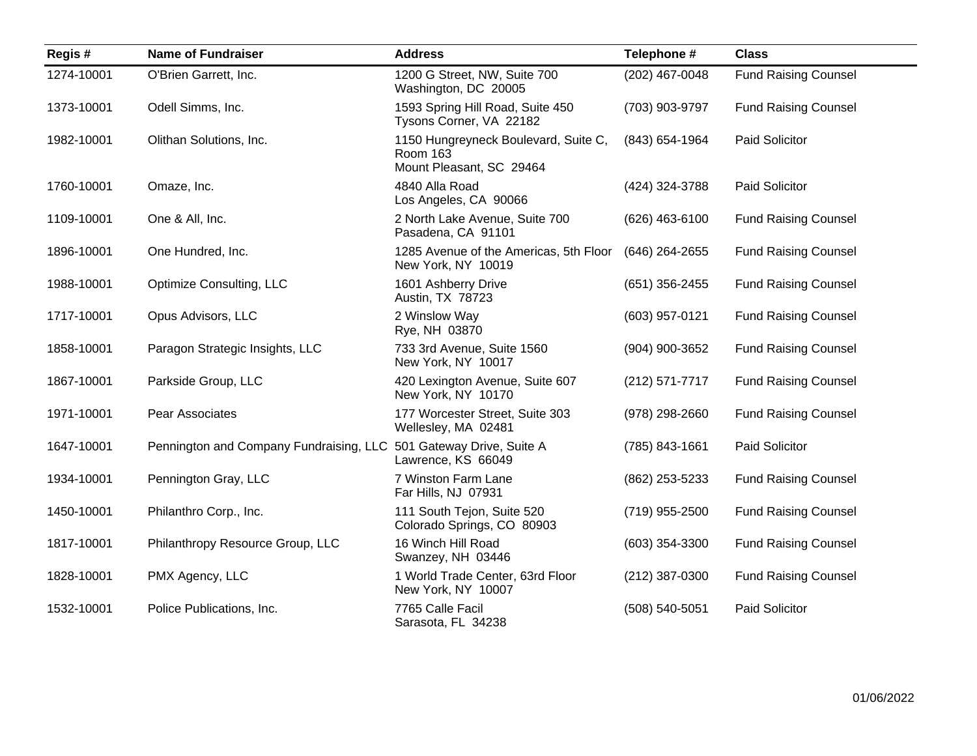| Regis#     | <b>Name of Fundraiser</b>                                          | <b>Address</b>                                                                      | Telephone #      | <b>Class</b>                |
|------------|--------------------------------------------------------------------|-------------------------------------------------------------------------------------|------------------|-----------------------------|
| 1274-10001 | O'Brien Garrett, Inc.                                              | 1200 G Street, NW, Suite 700<br>Washington, DC 20005                                | (202) 467-0048   | <b>Fund Raising Counsel</b> |
| 1373-10001 | Odell Simms, Inc.                                                  | 1593 Spring Hill Road, Suite 450<br>Tysons Corner, VA 22182                         | (703) 903-9797   | <b>Fund Raising Counsel</b> |
| 1982-10001 | Olithan Solutions, Inc.                                            | 1150 Hungreyneck Boulevard, Suite C,<br><b>Room 163</b><br>Mount Pleasant, SC 29464 | (843) 654-1964   | Paid Solicitor              |
| 1760-10001 | Omaze, Inc.                                                        | 4840 Alla Road<br>Los Angeles, CA 90066                                             | (424) 324-3788   | Paid Solicitor              |
| 1109-10001 | One & All, Inc.                                                    | 2 North Lake Avenue, Suite 700<br>Pasadena, CA 91101                                | (626) 463-6100   | <b>Fund Raising Counsel</b> |
| 1896-10001 | One Hundred, Inc.                                                  | 1285 Avenue of the Americas, 5th Floor<br>New York, NY 10019                        | (646) 264-2655   | <b>Fund Raising Counsel</b> |
| 1988-10001 | Optimize Consulting, LLC                                           | 1601 Ashberry Drive<br>Austin, TX 78723                                             | $(651)$ 356-2455 | <b>Fund Raising Counsel</b> |
| 1717-10001 | Opus Advisors, LLC                                                 | 2 Winslow Way<br>Rye, NH 03870                                                      | (603) 957-0121   | <b>Fund Raising Counsel</b> |
| 1858-10001 | Paragon Strategic Insights, LLC                                    | 733 3rd Avenue, Suite 1560<br>New York, NY 10017                                    | (904) 900-3652   | <b>Fund Raising Counsel</b> |
| 1867-10001 | Parkside Group, LLC                                                | 420 Lexington Avenue, Suite 607<br>New York, NY 10170                               | (212) 571-7717   | <b>Fund Raising Counsel</b> |
| 1971-10001 | Pear Associates                                                    | 177 Worcester Street, Suite 303<br>Wellesley, MA 02481                              | (978) 298-2660   | <b>Fund Raising Counsel</b> |
| 1647-10001 | Pennington and Company Fundraising, LLC 501 Gateway Drive, Suite A | Lawrence, KS 66049                                                                  | (785) 843-1661   | Paid Solicitor              |
| 1934-10001 | Pennington Gray, LLC                                               | 7 Winston Farm Lane<br>Far Hills, NJ 07931                                          | (862) 253-5233   | <b>Fund Raising Counsel</b> |
| 1450-10001 | Philanthro Corp., Inc.                                             | 111 South Tejon, Suite 520<br>Colorado Springs, CO 80903                            | (719) 955-2500   | <b>Fund Raising Counsel</b> |
| 1817-10001 | Philanthropy Resource Group, LLC                                   | 16 Winch Hill Road<br>Swanzey, NH 03446                                             | $(603)$ 354-3300 | <b>Fund Raising Counsel</b> |
| 1828-10001 | PMX Agency, LLC                                                    | 1 World Trade Center, 63rd Floor<br>New York, NY 10007                              | (212) 387-0300   | <b>Fund Raising Counsel</b> |
| 1532-10001 | Police Publications, Inc.                                          | 7765 Calle Facil<br>Sarasota, FL 34238                                              | (508) 540-5051   | Paid Solicitor              |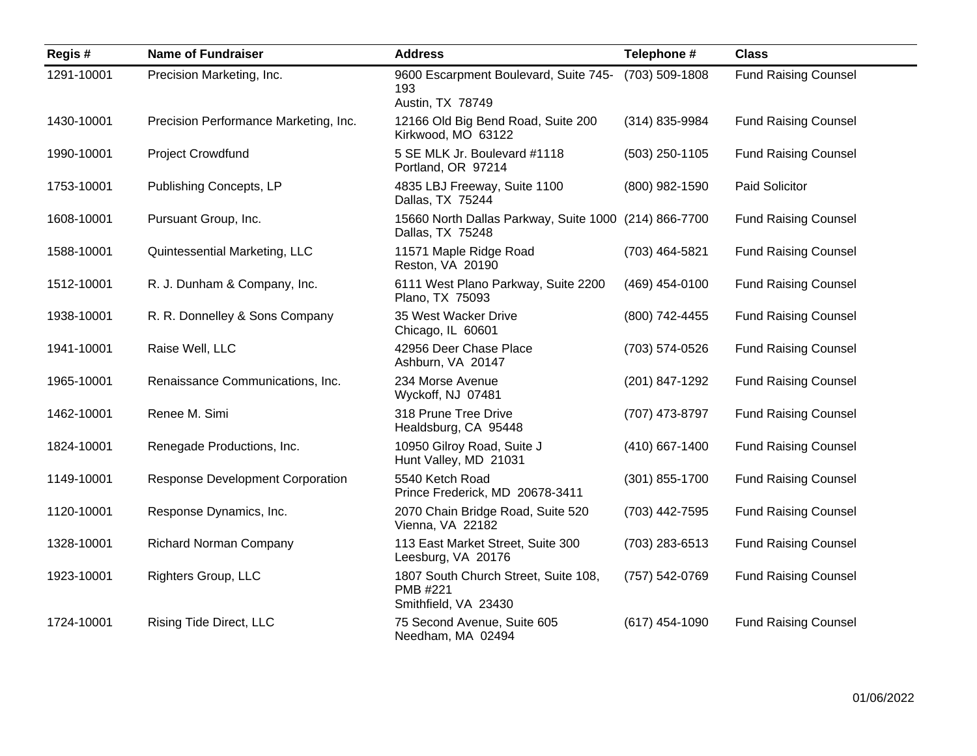| Regis#     | <b>Name of Fundraiser</b>               | <b>Address</b>                                                            | Telephone #      | <b>Class</b>                |
|------------|-----------------------------------------|---------------------------------------------------------------------------|------------------|-----------------------------|
| 1291-10001 | Precision Marketing, Inc.               | 9600 Escarpment Boulevard, Suite 745-<br>193<br>Austin, TX 78749          | (703) 509-1808   | <b>Fund Raising Counsel</b> |
| 1430-10001 | Precision Performance Marketing, Inc.   | 12166 Old Big Bend Road, Suite 200<br>Kirkwood, MO 63122                  | (314) 835-9984   | <b>Fund Raising Counsel</b> |
| 1990-10001 | <b>Project Crowdfund</b>                | 5 SE MLK Jr. Boulevard #1118<br>Portland, OR 97214                        | (503) 250-1105   | <b>Fund Raising Counsel</b> |
| 1753-10001 | Publishing Concepts, LP                 | 4835 LBJ Freeway, Suite 1100<br>Dallas, TX 75244                          | (800) 982-1590   | Paid Solicitor              |
| 1608-10001 | Pursuant Group, Inc.                    | 15660 North Dallas Parkway, Suite 1000 (214) 866-7700<br>Dallas, TX 75248 |                  | <b>Fund Raising Counsel</b> |
| 1588-10001 | Quintessential Marketing, LLC           | 11571 Maple Ridge Road<br>Reston, VA 20190                                | (703) 464-5821   | <b>Fund Raising Counsel</b> |
| 1512-10001 | R. J. Dunham & Company, Inc.            | 6111 West Plano Parkway, Suite 2200<br>Plano, TX 75093                    | (469) 454-0100   | <b>Fund Raising Counsel</b> |
| 1938-10001 | R. R. Donnelley & Sons Company          | 35 West Wacker Drive<br>Chicago, IL 60601                                 | (800) 742-4455   | <b>Fund Raising Counsel</b> |
| 1941-10001 | Raise Well, LLC                         | 42956 Deer Chase Place<br>Ashburn, VA 20147                               | (703) 574-0526   | <b>Fund Raising Counsel</b> |
| 1965-10001 | Renaissance Communications, Inc.        | 234 Morse Avenue<br>Wyckoff, NJ 07481                                     | (201) 847-1292   | <b>Fund Raising Counsel</b> |
| 1462-10001 | Renee M. Simi                           | 318 Prune Tree Drive<br>Healdsburg, CA 95448                              | (707) 473-8797   | <b>Fund Raising Counsel</b> |
| 1824-10001 | Renegade Productions, Inc.              | 10950 Gilroy Road, Suite J<br>Hunt Valley, MD 21031                       | (410) 667-1400   | <b>Fund Raising Counsel</b> |
| 1149-10001 | <b>Response Development Corporation</b> | 5540 Ketch Road<br>Prince Frederick, MD 20678-3411                        | $(301)$ 855-1700 | <b>Fund Raising Counsel</b> |
| 1120-10001 | Response Dynamics, Inc.                 | 2070 Chain Bridge Road, Suite 520<br>Vienna, VA 22182                     | (703) 442-7595   | <b>Fund Raising Counsel</b> |
| 1328-10001 | <b>Richard Norman Company</b>           | 113 East Market Street, Suite 300<br>Leesburg, VA 20176                   | (703) 283-6513   | <b>Fund Raising Counsel</b> |
| 1923-10001 | Righters Group, LLC                     | 1807 South Church Street, Suite 108,<br>PMB #221<br>Smithfield, VA 23430  | (757) 542-0769   | <b>Fund Raising Counsel</b> |
| 1724-10001 | Rising Tide Direct, LLC                 | 75 Second Avenue, Suite 605<br>Needham, MA 02494                          | $(617)$ 454-1090 | <b>Fund Raising Counsel</b> |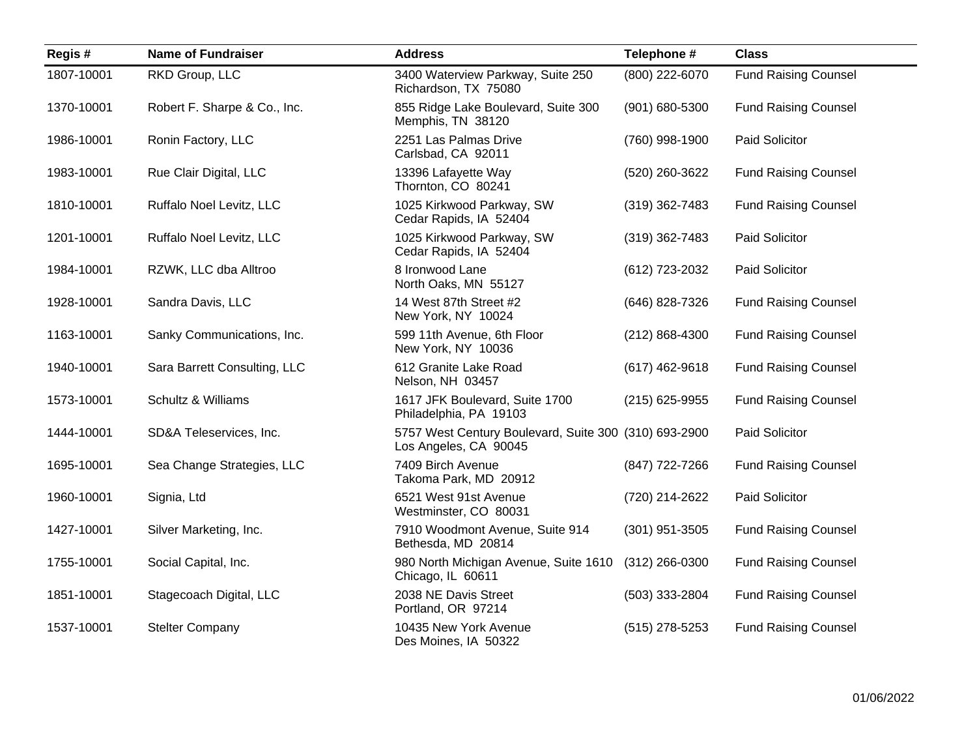| Regis#     | <b>Name of Fundraiser</b>    | <b>Address</b>                                                                 | Telephone #        | <b>Class</b>                |
|------------|------------------------------|--------------------------------------------------------------------------------|--------------------|-----------------------------|
| 1807-10001 | RKD Group, LLC               | 3400 Waterview Parkway, Suite 250<br>Richardson, TX 75080                      | (800) 222-6070     | <b>Fund Raising Counsel</b> |
| 1370-10001 | Robert F. Sharpe & Co., Inc. | 855 Ridge Lake Boulevard, Suite 300<br>Memphis, TN 38120                       | (901) 680-5300     | <b>Fund Raising Counsel</b> |
| 1986-10001 | Ronin Factory, LLC           | 2251 Las Palmas Drive<br>Carlsbad, CA 92011                                    | (760) 998-1900     | Paid Solicitor              |
| 1983-10001 | Rue Clair Digital, LLC       | 13396 Lafayette Way<br>Thornton, CO 80241                                      | (520) 260-3622     | <b>Fund Raising Counsel</b> |
| 1810-10001 | Ruffalo Noel Levitz, LLC     | 1025 Kirkwood Parkway, SW<br>Cedar Rapids, IA 52404                            | $(319)$ 362-7483   | <b>Fund Raising Counsel</b> |
| 1201-10001 | Ruffalo Noel Levitz, LLC     | 1025 Kirkwood Parkway, SW<br>Cedar Rapids, IA 52404                            | $(319)$ 362-7483   | Paid Solicitor              |
| 1984-10001 | RZWK, LLC dba Alltroo        | 8 Ironwood Lane<br>North Oaks, MN 55127                                        | (612) 723-2032     | Paid Solicitor              |
| 1928-10001 | Sandra Davis, LLC            | 14 West 87th Street #2<br>New York, NY 10024                                   | (646) 828-7326     | <b>Fund Raising Counsel</b> |
| 1163-10001 | Sanky Communications, Inc.   | 599 11th Avenue, 6th Floor<br>New York, NY 10036                               | $(212) 868 - 4300$ | <b>Fund Raising Counsel</b> |
| 1940-10001 | Sara Barrett Consulting, LLC | 612 Granite Lake Road<br>Nelson, NH 03457                                      | $(617)$ 462-9618   | <b>Fund Raising Counsel</b> |
| 1573-10001 | Schultz & Williams           | 1617 JFK Boulevard, Suite 1700<br>Philadelphia, PA 19103                       | $(215)$ 625-9955   | <b>Fund Raising Counsel</b> |
| 1444-10001 | SD&A Teleservices, Inc.      | 5757 West Century Boulevard, Suite 300 (310) 693-2900<br>Los Angeles, CA 90045 |                    | Paid Solicitor              |
| 1695-10001 | Sea Change Strategies, LLC   | 7409 Birch Avenue<br>Takoma Park, MD 20912                                     | (847) 722-7266     | <b>Fund Raising Counsel</b> |
| 1960-10001 | Signia, Ltd                  | 6521 West 91st Avenue<br>Westminster, CO 80031                                 | (720) 214-2622     | Paid Solicitor              |
| 1427-10001 | Silver Marketing, Inc.       | 7910 Woodmont Avenue, Suite 914<br>Bethesda, MD 20814                          | $(301)$ 951-3505   | <b>Fund Raising Counsel</b> |
| 1755-10001 | Social Capital, Inc.         | 980 North Michigan Avenue, Suite 1610<br>Chicago, IL 60611                     | $(312)$ 266-0300   | <b>Fund Raising Counsel</b> |
| 1851-10001 | Stagecoach Digital, LLC      | 2038 NE Davis Street<br>Portland, OR 97214                                     | (503) 333-2804     | <b>Fund Raising Counsel</b> |
| 1537-10001 | <b>Stelter Company</b>       | 10435 New York Avenue<br>Des Moines, IA 50322                                  | $(515)$ 278-5253   | <b>Fund Raising Counsel</b> |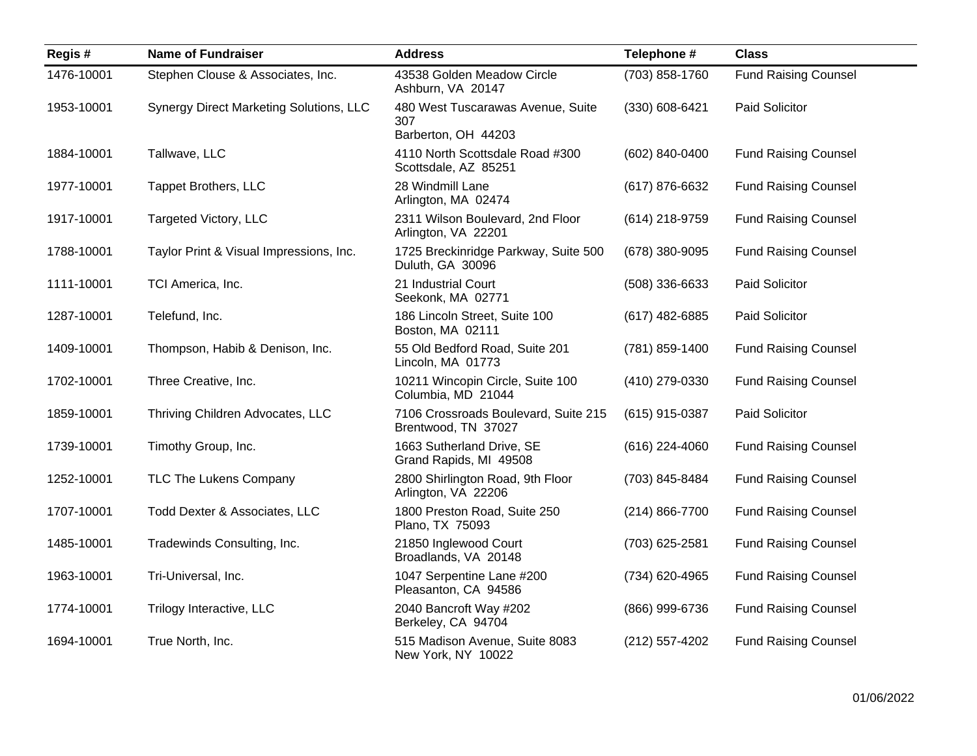| Regis#     | <b>Name of Fundraiser</b>               | <b>Address</b>                                                  | Telephone #    | <b>Class</b>                |
|------------|-----------------------------------------|-----------------------------------------------------------------|----------------|-----------------------------|
| 1476-10001 | Stephen Clouse & Associates, Inc.       | 43538 Golden Meadow Circle<br>Ashburn, VA 20147                 | (703) 858-1760 | <b>Fund Raising Counsel</b> |
| 1953-10001 | Synergy Direct Marketing Solutions, LLC | 480 West Tuscarawas Avenue, Suite<br>307<br>Barberton, OH 44203 | (330) 608-6421 | Paid Solicitor              |
| 1884-10001 | Tallwave, LLC                           | 4110 North Scottsdale Road #300<br>Scottsdale, AZ 85251         | (602) 840-0400 | <b>Fund Raising Counsel</b> |
| 1977-10001 | <b>Tappet Brothers, LLC</b>             | 28 Windmill Lane<br>Arlington, MA 02474                         | (617) 876-6632 | <b>Fund Raising Counsel</b> |
| 1917-10001 | Targeted Victory, LLC                   | 2311 Wilson Boulevard, 2nd Floor<br>Arlington, VA 22201         | (614) 218-9759 | <b>Fund Raising Counsel</b> |
| 1788-10001 | Taylor Print & Visual Impressions, Inc. | 1725 Breckinridge Parkway, Suite 500<br>Duluth, GA 30096        | (678) 380-9095 | <b>Fund Raising Counsel</b> |
| 1111-10001 | TCI America, Inc.                       | 21 Industrial Court<br>Seekonk, MA 02771                        | (508) 336-6633 | Paid Solicitor              |
| 1287-10001 | Telefund, Inc.                          | 186 Lincoln Street, Suite 100<br>Boston, MA 02111               | (617) 482-6885 | Paid Solicitor              |
| 1409-10001 | Thompson, Habib & Denison, Inc.         | 55 Old Bedford Road, Suite 201<br>Lincoln, MA 01773             | (781) 859-1400 | <b>Fund Raising Counsel</b> |
| 1702-10001 | Three Creative, Inc.                    | 10211 Wincopin Circle, Suite 100<br>Columbia, MD 21044          | (410) 279-0330 | <b>Fund Raising Counsel</b> |
| 1859-10001 | Thriving Children Advocates, LLC        | 7106 Crossroads Boulevard, Suite 215<br>Brentwood, TN 37027     | (615) 915-0387 | Paid Solicitor              |
| 1739-10001 | Timothy Group, Inc.                     | 1663 Sutherland Drive, SE<br>Grand Rapids, MI 49508             | (616) 224-4060 | <b>Fund Raising Counsel</b> |
| 1252-10001 | TLC The Lukens Company                  | 2800 Shirlington Road, 9th Floor<br>Arlington, VA 22206         | (703) 845-8484 | <b>Fund Raising Counsel</b> |
| 1707-10001 | Todd Dexter & Associates, LLC           | 1800 Preston Road, Suite 250<br>Plano, TX 75093                 | (214) 866-7700 | <b>Fund Raising Counsel</b> |
| 1485-10001 | Tradewinds Consulting, Inc.             | 21850 Inglewood Court<br>Broadlands, VA 20148                   | (703) 625-2581 | <b>Fund Raising Counsel</b> |
| 1963-10001 | Tri-Universal, Inc.                     | 1047 Serpentine Lane #200<br>Pleasanton, CA 94586               | (734) 620-4965 | <b>Fund Raising Counsel</b> |
| 1774-10001 | Trilogy Interactive, LLC                | 2040 Bancroft Way #202<br>Berkeley, CA 94704                    | (866) 999-6736 | <b>Fund Raising Counsel</b> |
| 1694-10001 | True North, Inc.                        | 515 Madison Avenue, Suite 8083<br>New York, NY 10022            | (212) 557-4202 | <b>Fund Raising Counsel</b> |